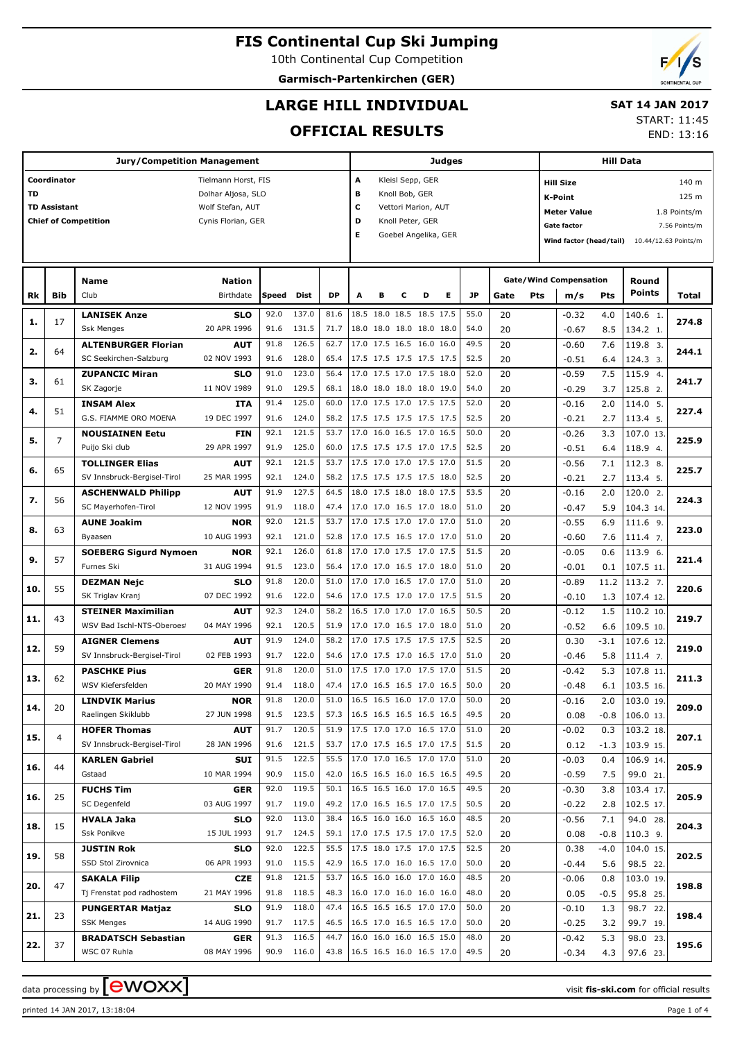10th Continental Cup Competition

**Garmisch-Partenkirchen (GER)**

# **LARGE HILL INDIVIDUAL**

### **SAT 14 JAN 2017** START: 11:45

**OFFICIAL RESULTS**

|           |                     | <b>Jury/Competition Management</b>                               |                    |              |            |                               | Judges                   |                                                 | Hill Data |   |   |      |             |                                    |                               |                      |                        |               |  |
|-----------|---------------------|------------------------------------------------------------------|--------------------|--------------|------------|-------------------------------|--------------------------|-------------------------------------------------|-----------|---|---|------|-------------|------------------------------------|-------------------------------|----------------------|------------------------|---------------|--|
|           | Coordinator         | Tielmann Horst, FIS<br>A<br>Kleisl Sepp, GER<br><b>Hill Size</b> |                    |              |            |                               |                          |                                                 |           |   |   |      |             |                                    | 140 m                         |                      |                        |               |  |
| <b>TD</b> |                     |                                                                  | Dolhar Aljosa, SLO |              |            |                               | в<br>Knoll Bob, GER      |                                                 |           |   |   |      |             |                                    | 125 m                         |                      |                        |               |  |
|           | <b>TD Assistant</b> |                                                                  | Wolf Stefan, AUT   |              |            |                               | c<br>Vettori Marion, AUT |                                                 |           |   |   |      |             | <b>K-Point</b>                     |                               |                      |                        |               |  |
|           |                     | <b>Chief of Competition</b>                                      | Cynis Florian, GER |              |            |                               | D<br>Knoll Peter, GER    |                                                 |           |   |   |      |             | <b>Meter Value</b><br>1.8 Points/m |                               |                      |                        |               |  |
|           |                     |                                                                  |                    |              |            |                               | Е                        |                                                 |           |   |   |      |             |                                    | <b>Gate factor</b>            |                      |                        | 7.56 Points/m |  |
|           |                     |                                                                  |                    |              |            |                               |                          | Goebel Angelika, GER<br>Wind factor (head/tail) |           |   |   |      |             |                                    |                               | 10.44/12.63 Points/m |                        |               |  |
|           |                     |                                                                  |                    |              |            |                               |                          |                                                 |           |   |   |      |             |                                    |                               |                      |                        |               |  |
|           |                     |                                                                  |                    |              |            |                               |                          |                                                 |           |   |   |      |             |                                    |                               |                      |                        |               |  |
|           |                     | <b>Name</b>                                                      | <b>Nation</b>      |              |            |                               |                          |                                                 |           |   |   |      |             |                                    | <b>Gate/Wind Compensation</b> |                      | Round<br><b>Points</b> |               |  |
| Rk        | Bib                 | Club                                                             | Birthdate          | <b>Speed</b> | Dist       | <b>DP</b>                     | Α                        | в                                               | c         | D | Е | JP   | Gate<br>Pts |                                    | m/s                           | Pts                  |                        | Total         |  |
| 1.        | 17                  | <b>LANISEK Anze</b>                                              | <b>SLO</b>         | 92.0         | 137.0      | 81.6                          |                          | 18.5 18.0 18.5 18.5 17.5                        |           |   |   | 55.0 | 20          |                                    | $-0.32$                       | 4.0                  | 140.6 1.               | 274.8         |  |
|           |                     | <b>Ssk Menges</b>                                                | 20 APR 1996        | 91.6         | 131.5      | 71.7                          |                          | 18.0 18.0 18.0 18.0 18.0                        |           |   |   | 54.0 | 20          |                                    | $-0.67$                       | 8.5                  | 134.2 1.               |               |  |
|           |                     | <b>ALTENBURGER Florian</b>                                       | AUT                | 91.8         | 126.5      | 62.7                          |                          | 17.0 17.5 16.5 16.0 16.0                        |           |   |   | 49.5 | 20          |                                    | $-0.60$                       | 7.6                  | 119.8 3.               |               |  |
| 2.        | 64                  | SC Seekirchen-Salzburg                                           | 02 NOV 1993        | 91.6         | 128.0      | 65.4                          |                          | 17.5 17.5 17.5 17.5 17.5                        |           |   |   | 52.5 | 20          |                                    | $-0.51$                       | 6.4                  | 124.3 3.               | 244.1         |  |
|           |                     | <b>ZUPANCIC Miran</b>                                            | <b>SLO</b>         | 91.0         | 123.0      | 56.4                          |                          | 17.0 17.5 17.0 17.5 18.0                        |           |   |   | 52.0 | 20          |                                    | $-0.59$                       | 7.5                  | 115.9 4.               |               |  |
| з.        | 61                  | SK Zagorje                                                       | 11 NOV 1989        | 91.0         | 129.5      | 68.1                          |                          | 18.0 18.0 18.0 18.0 19.0                        |           |   |   | 54.0 | 20          |                                    | $-0.29$                       | 3.7                  | 125.8 2.               | 241.7         |  |
|           |                     | <b>INSAM Alex</b>                                                | ITA                | 91.4         | 125.0      | 60.0                          |                          | 17.0 17.5 17.0 17.5 17.5                        |           |   |   | 52.0 | 20          |                                    | $-0.16$                       | 2.0                  | 114.0 5.               |               |  |
| 4.        | 51                  | G.S. FIAMME ORO MOENA                                            | 19 DEC 1997        | 91.6         | 124.0      | 58.2                          |                          | 17.5 17.5 17.5 17.5 17.5                        |           |   |   | 52.5 | 20          |                                    | $-0.21$                       | 2.7                  | 113.4 5.               | 227.4         |  |
|           |                     | <b>NOUSIAINEN Eetu</b>                                           | FIN                | 92.1         | 121.5      | 53.7                          |                          | 17.0 16.0 16.5 17.0 16.5                        |           |   |   | 50.0 | 20          |                                    | $-0.26$                       | 3.3                  | 107.0 13.              |               |  |
| 5.        | $\overline{7}$      | Puijo Ski club                                                   | 29 APR 1997        | 91.9         | 125.0      | 60.0                          |                          | 17.5 17.5 17.5 17.0 17.5                        |           |   |   | 52.5 | 20          |                                    | $-0.51$                       | 6.4                  | 118.9 4.               | 225.9         |  |
|           |                     | <b>TOLLINGER Elias</b>                                           | AUT                | 92.1         | 121.5      | 53.7                          |                          | 17.5 17.0 17.0 17.5 17.0                        |           |   |   | 51.5 | 20          |                                    | $-0.56$                       | 7.1                  | 112.3 8.               |               |  |
| 6.        | 65                  | SV Innsbruck-Bergisel-Tirol                                      | 25 MAR 1995        | 92.1         | 124.0      | 58.2                          |                          | 17.5 17.5 17.5 17.5 18.0                        |           |   |   | 52.5 | 20          |                                    |                               |                      |                        | 225.7         |  |
|           |                     |                                                                  |                    |              |            |                               |                          |                                                 |           |   |   |      |             |                                    | $-0.21$                       | 2.7                  | 113.4 5.               |               |  |
| 7.        | 56                  | <b>ASCHENWALD Philipp</b>                                        | AUT                | 91.9         | 127.5      | 64.5                          |                          | 18.0 17.5 18.0 18.0 17.5                        |           |   |   | 53.5 | 20          |                                    | $-0.16$                       | 2.0                  | 120.0 2.               | 224.3         |  |
|           |                     | SC Mayerhofen-Tirol                                              | 12 NOV 1995        | 91.9         | 118.0      | 47.4                          |                          | 17.0 17.0 16.5 17.0 18.0                        |           |   |   | 51.0 | 20          |                                    | $-0.47$                       | 5.9                  | 104.3 14.              |               |  |
| 8.        | 63                  | <b>AUNE Joakim</b>                                               | <b>NOR</b>         | 92.0         | 121.5      | 53.7                          |                          | 17.0 17.5 17.0 17.0 17.0                        |           |   |   | 51.0 | 20          |                                    | $-0.55$                       | 6.9                  | 111.6 9.               | 223.0         |  |
|           |                     | Byaasen                                                          | 10 AUG 1993        | 92.1         | 121.0      | 52.8                          |                          | 17.0 17.5 16.5 17.0 17.0                        |           |   |   | 51.0 | 20          |                                    | $-0.60$                       | 7.6                  | 111.4 7.               |               |  |
| 9.        | 57                  | <b>SOEBERG Sigurd Nymoen</b>                                     | <b>NOR</b>         | 92.1         | 126.0      | 61.8                          |                          | 17.0 17.0 17.5 17.0 17.5                        |           |   |   | 51.5 | 20          |                                    | $-0.05$                       | 0.6                  | 113.9 6.               | 221.4         |  |
|           |                     | Furnes Ski                                                       | 31 AUG 1994        | 91.5         | 123.0      | 56.4                          |                          | 17.0 17.0 16.5 17.0 18.0                        |           |   |   | 51.0 | 20          |                                    | $-0.01$                       | 0.1                  | 107.5 11.              |               |  |
|           | 55                  | <b>DEZMAN Nejc</b>                                               | <b>SLO</b>         | 91.8         | 120.0      | 51.0                          |                          | 17.0 17.0 16.5 17.0 17.0                        |           |   |   | 51.0 | 20          |                                    | $-0.89$                       | 11.2                 | 113.2 7.               |               |  |
| 10.       |                     | SK Triglav Kranj                                                 | 07 DEC 1992        | 91.6         | 122.0      | 54.6                          |                          | 17.0 17.5 17.0 17.0 17.5                        |           |   |   | 51.5 | 20          |                                    | $-0.10$                       | 1.3                  | 107.4 12.              | 220.6         |  |
|           |                     | <b>STEINER Maximilian</b>                                        | AUT                | 92.3         | 124.0      | 58.2                          |                          | 16.5 17.0 17.0 17.0 16.5                        |           |   |   | 50.5 | 20          |                                    | $-0.12$                       | 1.5                  | 110.2 10.              |               |  |
| 11.       | 43                  | WSV Bad Ischl-NTS-Oberoes                                        | 04 MAY 1996        | 92.1         | 120.5      | 51.9                          |                          | 17.0 17.0 16.5 17.0 18.0                        |           |   |   | 51.0 | 20          |                                    | $-0.52$                       | 6.6                  | 109.5 10.              | 219.7         |  |
|           |                     | <b>AIGNER Clemens</b>                                            | AUT                | 91.9         | 124.0      | 58.2                          |                          | 17.0 17.5 17.5 17.5 17.5                        |           |   |   | 52.5 | 20          |                                    | 0.30                          | $-3.1$               | 107.6 12.              |               |  |
| 12.       | 59                  | SV Innsbruck-Bergisel-Tirol                                      | 02 FEB 1993        | 91.7         | 122.0      | 54.6                          |                          | 17.0 17.5 17.0 16.5 17.0                        |           |   |   | 51.0 | 20          |                                    | $-0.46$                       | 5.8                  | $111.4$ 7.             | 219.0         |  |
|           |                     | <b>PASCHKE Pius</b>                                              | <b>GER</b>         | 91.8         | 120.0      | 51.0                          |                          | 17.5 17.0 17.0 17.5 17.0                        |           |   |   | 51.5 | 20          |                                    | $-0.42$                       | 5.3                  | 107.8 11.              |               |  |
| 13.       | 62                  | WSV Kiefersfelden                                                | 20 MAY 1990        | 91.4         | 118.0      | 47.4                          |                          | 17.0 16.5 16.5 17.0 16.5                        |           |   |   | 50.0 | 20          |                                    | $-0.48$                       | 6.1                  | 103.5 16.              | 211.3         |  |
|           |                     | <b>LINDVIK Marius</b>                                            | <b>NOR</b>         | 91.8         | 120.0      | 51.0                          |                          | 16.5 16.5 16.0 17.0 17.0                        |           |   |   | 50.0 | 20          |                                    | $-0.16$                       | 2.0                  | 103.0 19.              |               |  |
| 14.       | 20                  | Raelingen Skiklubb                                               | 27 JUN 1998        |              | 91.5 123.5 | 57.3 16.5 16.5 16.5 16.5 16.5 |                          |                                                 |           |   |   | 49.5 | 20          |                                    | 0.08                          | $-0.8$               | 106.0 13.              | 209.0         |  |
|           |                     | <b>HOFER Thomas</b>                                              | <b>AUT</b>         | 91.7         | 120.5      | 51.9                          | 17.5 17.0 17.0 16.5 17.0 |                                                 |           |   |   | 51.0 | 20          |                                    | $-0.02$                       | 0.3                  | 103.2 18.              |               |  |
| 15.       | 4                   | SV Innsbruck-Bergisel-Tirol                                      | 28 JAN 1996        |              | 91.6 121.5 | 53.7                          | 17.0 17.5 16.5 17.0 17.5 |                                                 |           |   |   | 51.5 | 20          |                                    | 0.12                          | $-1.3$               | 103.9 15.              | 207.1         |  |
|           |                     | <b>KARLEN Gabriel</b>                                            | SUI                | 91.5         | 122.5      | 55.5                          | 17.0 17.0 16.5 17.0 17.0 |                                                 |           |   |   | 51.0 | 20          |                                    | $-0.03$                       | 0.4                  | 106.9 14.              |               |  |
| 16.       | 44                  |                                                                  | 10 MAR 1994        | 90.9         | 115.0      | 42.0                          | 16.5 16.5 16.0 16.5 16.5 |                                                 |           |   |   | 49.5 |             |                                    |                               |                      |                        | 205.9         |  |
|           |                     | Gstaad                                                           |                    |              |            |                               |                          |                                                 |           |   |   |      | 20          |                                    | $-0.59$                       | 7.5                  | 99.0 21.               |               |  |
| 16.       | 25                  | <b>FUCHS Tim</b>                                                 | <b>GER</b>         | 92.0         | 119.5      | 50.1                          | 16.5 16.5 16.0 17.0 16.5 |                                                 |           |   |   | 49.5 | 20          |                                    | $-0.30$                       | 3.8                  | 103.4 17.              | 205.9         |  |
|           |                     | SC Degenfeld                                                     | 03 AUG 1997        | 91.7         | 119.0      | 49.2                          | 17.0 16.5 16.5 17.0 17.5 |                                                 |           |   |   | 50.5 | 20          |                                    | $-0.22$                       | 2.8                  | 102.5 17.              |               |  |
| 18.       | 15                  | <b>HVALA Jaka</b>                                                | <b>SLO</b>         | 92.0         | 113.0      | 38.4                          | 16.5 16.0 16.0 16.5 16.0 |                                                 |           |   |   | 48.5 | 20          |                                    | $-0.56$                       | 7.1                  | 94.0 28.               | 204.3         |  |
|           |                     | Ssk Ponikve                                                      | 15 JUL 1993        | 91.7         | 124.5      | 59.1                          | 17.0 17.5 17.5 17.0 17.5 |                                                 |           |   |   | 52.0 | 20          |                                    | 0.08                          | $-0.8$               | 110.3 9.               |               |  |
| 19.       | 58                  | <b>JUSTIN Rok</b>                                                | <b>SLO</b>         | 92.0         | 122.5      | 55.5                          | 17.5 18.0 17.5 17.0 17.5 |                                                 |           |   |   | 52.5 | 20          |                                    | 0.38                          | $-4.0$               | 104.0 15.              | 202.5         |  |
|           |                     | SSD Stol Zirovnica                                               | 06 APR 1993        | 91.0         | 115.5      | 42.9                          | 16.5 17.0 16.0 16.5 17.0 |                                                 |           |   |   | 50.0 | 20          |                                    | $-0.44$                       | 5.6                  | 98.5 22.               |               |  |
| 20.       | 47                  | <b>SAKALA Filip</b>                                              | <b>CZE</b>         | 91.8         | 121.5      | 53.7                          |                          | 16.5 16.0 16.0 17.0 16.0                        |           |   |   | 48.5 | 20          |                                    | $-0.06$                       | 0.8                  | 103.0 19.              | 198.8         |  |
|           |                     | Tj Frenstat pod radhostem                                        | 21 MAY 1996        | 91.8         | 118.5      | 48.3                          | 16.0 17.0 16.0 16.0 16.0 |                                                 |           |   |   | 48.0 | 20          |                                    | 0.05                          | $-0.5$               | 95.8 25.               |               |  |
| 21.       | 23                  | <b>PUNGERTAR Matjaz</b>                                          | <b>SLO</b>         | 91.9         | 118.0      | 47.4                          | 16.5 16.5 16.5 17.0 17.0 |                                                 |           |   |   | 50.0 | 20          |                                    | $-0.10$                       | 1.3                  | 98.7 22.               | 198.4         |  |
|           |                     | <b>SSK Menges</b>                                                | 14 AUG 1990        | 91.7         | 117.5      | 46.5                          | 16.5 17.0 16.5 16.5 17.0 |                                                 |           |   |   | 50.0 | 20          |                                    | $-0.25$                       | 3.2                  | 99.7 19.               |               |  |
|           |                     | <b>BRADATSCH Sebastian</b>                                       | <b>GER</b>         | 91.3         | 116.5      | 44.7                          |                          | 16.0 16.0 16.0 16.5 15.0                        |           |   |   | 48.0 | 20          |                                    | $-0.42$                       | 5.3                  | 98.0 23.               |               |  |
| 22.       | 37                  | WSC 07 Ruhla                                                     | 08 MAY 1996        |              | 90.9 116.0 | 43.8 16.5 16.5 16.0 16.5 17.0 |                          |                                                 |           |   |   | 49.5 | 20          |                                    | $-0.34$                       | 4.3                  | 97.6 23.               | 195.6         |  |

printed 14 JAN 2017, 13:18:04 Page 1 of 4

data processing by **CWOXX**  $\blacksquare$ 





END: 13:16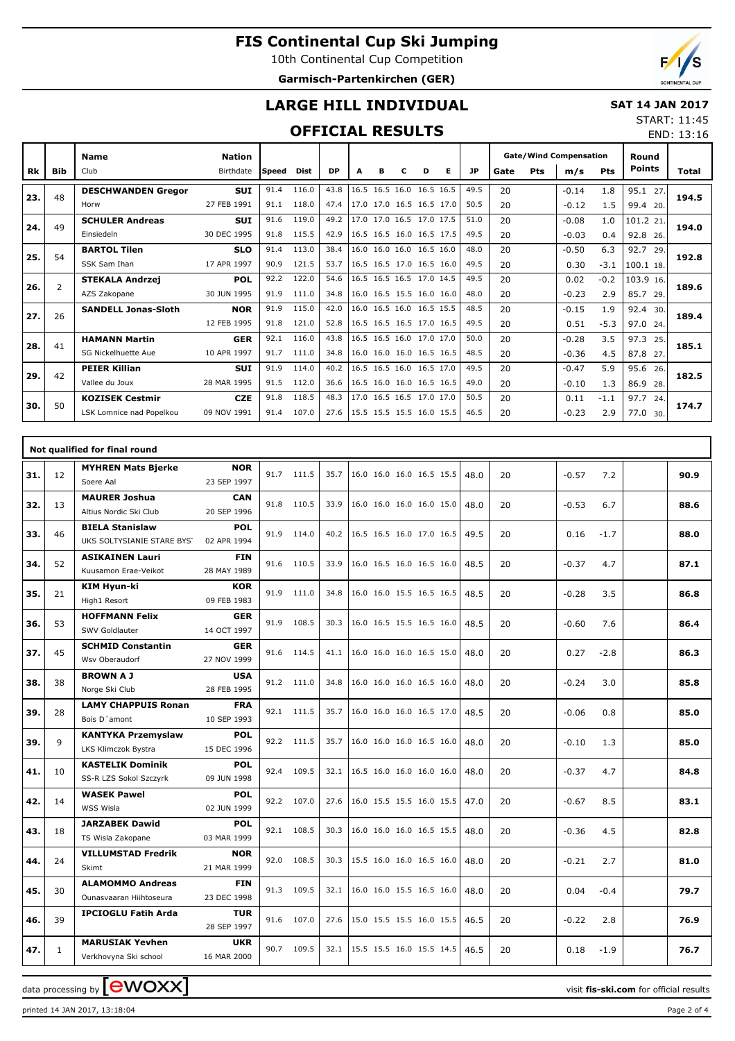10th Continental Cup Competition **Garmisch-Partenkirchen (GER)**

END: 13:16

# **LARGE HILL INDIVIDUAL**

### **SAT 14 JAN 2017** START: 11:45

### **OFFICIAL RESULTS**

|     |                | <b>Name</b>                | <b>Nation</b> |        |       |           |                          |   |           |                          |   |           | <b>Gate/Wind Compensation</b><br>Pts<br><b>Pts</b><br>m/s<br>Gate |  |         | Round  |               |       |
|-----|----------------|----------------------------|---------------|--------|-------|-----------|--------------------------|---|-----------|--------------------------|---|-----------|-------------------------------------------------------------------|--|---------|--------|---------------|-------|
| Rk  | <b>Bib</b>     | Club                       | Birthdate     | lSpeed | Dist  | <b>DP</b> | A                        | в | с         | D                        | Е | <b>JP</b> |                                                                   |  |         |        | <b>Points</b> | Total |
|     | 48             | <b>DESCHWANDEN Gregor</b>  | <b>SUI</b>    | 91.4   | 116.0 | 43.8      | 16.5                     |   | 16.5 16.0 | 16.5 16.5                |   | 49.5      | 20                                                                |  | $-0.14$ | 1.8    | 95.1<br>27.   |       |
| 23. |                | Horw                       | 27 FEB 1991   | 91.1   | 118.0 | 47.4      |                          |   |           | 17.0 17.0 16.5 16.5 17.0 |   | 50.5      | 20                                                                |  | $-0.12$ | 1.5    | 99.4 20.      | 194.5 |
| 24. | 49             | <b>SCHULER Andreas</b>     | <b>SUI</b>    | 91.6   | 119.0 | 49.2      |                          |   |           | 17.0 17.0 16.5 17.0 17.5 |   | 51.0      | 20                                                                |  | $-0.08$ | 1.0    | 101.2 21.     | 194.0 |
|     |                | Einsiedeln                 | 30 DEC 1995   | 91.8   | 115.5 | 42.9      |                          |   |           | 16.5 16.5 16.0 16.5 17.5 |   | 49.5      | 20                                                                |  | $-0.03$ | 0.4    | 92.8 26.      |       |
| 25. | 54             | <b>BARTOL Tilen</b>        | <b>SLO</b>    | 91.4   | 113.0 | 38.4      |                          |   |           | 16.0 16.0 16.0 16.5 16.0 |   | 48.0      | 20                                                                |  | $-0.50$ | 6.3    | 92.7<br>29.   | 192.8 |
|     |                | SSK Sam Ihan               | 17 APR 1997   | 90.9   | 121.5 | 53.7      |                          |   |           | 16.5 16.5 17.0 16.5 16.0 |   | 49.5      | 20                                                                |  | 0.30    | $-3.1$ | 100.1 18.     |       |
| 26. | $\overline{2}$ | <b>STEKALA Andrzej</b>     | <b>POL</b>    | 92.2   | 122.0 | 54.6      |                          |   |           | 16.5 16.5 16.5 17.0 14.5 |   | 49.5      | 20                                                                |  | 0.02    | $-0.2$ | 103.9 16.     | 189.6 |
|     |                | AZS Zakopane               | 30 JUN 1995   | 91.9   | 111.0 | 34.8      |                          |   |           | 16.0 16.5 15.5 16.0 16.0 |   | 48.0      | 20                                                                |  | $-0.23$ | 2.9    | 85.7<br>29.   |       |
| 27. | 26             | <b>SANDELL Jonas-Sloth</b> | <b>NOR</b>    | 91.9   | 115.0 | 42.0      |                          |   |           | 16.0 16.5 16.0 16.5 15.5 |   | 48.5      | 20                                                                |  | $-0.15$ | 1.9    | 92.4<br>30.   | 189.4 |
|     |                |                            | 12 FEB 1995   | 91.8   | 121.0 | 52.8      |                          |   |           | 16.5 16.5 16.5 17.0 16.5 |   | 49.5      | 20                                                                |  | 0.51    | $-5.3$ | 97.0<br>24.   |       |
| 28. | 41             | <b>HAMANN Martin</b>       | <b>GER</b>    | 92.1   | 116.0 | 43.8      |                          |   |           | 16.5 16.5 16.0 17.0 17.0 |   | 50.0      | 20                                                                |  | $-0.28$ | 3.5    | 97.3<br>25.   | 185.1 |
|     |                | SG Nickelhuette Aue        | 10 APR 1997   | 91.7   | 111.0 | 34.8      |                          |   |           | 16.0 16.0 16.0 16.5 16.5 |   | 48.5      | 20                                                                |  | $-0.36$ | 4.5    | 87.8<br>27.   |       |
| 29. | 42             | <b>PEIER Killian</b>       | <b>SUI</b>    | 91.9   | 114.0 | 40.2      |                          |   |           | 16.5 16.5 16.0 16.5 17.0 |   | 49.5      | 20                                                                |  | $-0.47$ | 5.9    | 95.6<br>26.   | 182.5 |
|     |                | Vallee du Joux             | 28 MAR 1995   | 91.5   | 112.0 | 36.6      |                          |   |           | 16.5 16.0 16.0 16.5 16.5 |   | 49.0      | 20                                                                |  | $-0.10$ | 1.3    | 86.9<br>28.   |       |
| 30. | 50             | <b>KOZISEK Cestmir</b>     | <b>CZE</b>    | 91.8   | 118.5 | 48.3      |                          |   |           | 17.0 16.5 16.5 17.0 17.0 |   | 50.5      | 20                                                                |  | 0.11    | $-1.1$ | 97.7<br>24    | 174.7 |
|     |                | LSK Lomnice nad Popelkou   | 09 NOV 1991   | 91.4   | 107.0 | 27.6      | 15.5 15.5 15.5 16.0 15.5 |   |           |                          |   | 46.5      | 20                                                                |  | $-0.23$ | 2.9    | 77.0 30.      |       |

|     |              | Not qualified for final round                        |                           |      |            |      |                                  |    |                |      |
|-----|--------------|------------------------------------------------------|---------------------------|------|------------|------|----------------------------------|----|----------------|------|
| 31. | 12           | <b>MYHREN Mats Bjerke</b><br>Soere Aal               | <b>NOR</b><br>23 SEP 1997 |      | 91.7 111.5 | 35.7 | 16.0 16.0 16.0 16.5 15.5<br>48.0 | 20 | $-0.57$<br>7.2 | 90.9 |
| 32. | 13           | <b>MAURER Joshua</b><br>Altius Nordic Ski Club       | <b>CAN</b><br>20 SEP 1996 |      | 91.8 110.5 | 33.9 | 16.0 16.0 16.0 16.0 15.0<br>48.0 | 20 | $-0.53$<br>6.7 | 88.6 |
| 33. | 46           | <b>BIELA Stanislaw</b><br>UKS SOLTYSIANIE STARE BYST | <b>POL</b><br>02 APR 1994 |      | 91.9 114.0 | 40.2 | 16.5 16.5 16.0 17.0 16.5<br>49.5 | 20 | 0.16<br>$-1.7$ | 88.0 |
| 34. | 52           | <b>ASIKAINEN Lauri</b><br>Kuusamon Erae-Veikot       | <b>FIN</b><br>28 MAY 1989 |      | 91.6 110.5 | 33.9 | 16.0 16.5 16.0 16.5 16.0<br>48.5 | 20 | 4.7<br>$-0.37$ | 87.1 |
| 35. | 21           | KIM Hyun-ki<br>High1 Resort                          | <b>KOR</b><br>09 FEB 1983 |      | 91.9 111.0 | 34.8 | 16.0 16.0 15.5 16.5 16.5<br>48.5 | 20 | 3.5<br>$-0.28$ | 86.8 |
| 36. | 53           | <b>HOFFMANN Felix</b><br>SWV Goldlauter              | <b>GER</b><br>14 OCT 1997 |      | 91.9 108.5 | 30.3 | 16.0 16.5 15.5 16.5 16.0<br>48.5 | 20 | $-0.60$<br>7.6 | 86.4 |
| 37. | 45           | <b>SCHMID Constantin</b><br>Wsv Oberaudorf           | <b>GER</b><br>27 NOV 1999 |      | 91.6 114.5 | 41.1 | 16.0 16.0 16.0 16.5 15.0<br>48.0 | 20 | 0.27<br>$-2.8$ | 86.3 |
| 38. | 38           | <b>BROWN A J</b><br>Norge Ski Club                   | <b>USA</b><br>28 FEB 1995 |      | 91.2 111.0 | 34.8 | 16.0 16.0 16.0 16.5 16.0<br>48.0 | 20 | $-0.24$<br>3.0 | 85.8 |
| 39. | 28           | <b>LAMY CHAPPUIS Ronan</b><br>Bois D'amont           | <b>FRA</b><br>10 SEP 1993 |      | 92.1 111.5 | 35.7 | 16.0 16.0 16.0 16.5 17.0<br>48.5 | 20 | 0.8<br>$-0.06$ | 85.0 |
| 39. | 9            | <b>KANTYKA Przemyslaw</b><br>LKS Klimczok Bystra     | <b>POL</b><br>15 DEC 1996 |      | 92.2 111.5 | 35.7 | 16.0 16.0 16.0 16.5 16.0<br>48.0 | 20 | $-0.10$<br>1.3 | 85.0 |
| 41. | 10           | <b>KASTELIK Dominik</b><br>SS-R LZS Sokol Szczyrk    | <b>POL</b><br>09 JUN 1998 |      | 92.4 109.5 | 32.1 | 16.5 16.0 16.0 16.0 16.0<br>48.0 | 20 | 4.7<br>$-0.37$ | 84.8 |
| 42. | 14           | <b>WASEK Pawel</b><br>WSS Wisla                      | <b>POL</b><br>02 JUN 1999 |      | 92.2 107.0 | 27.6 | 16.0 15.5 15.5 16.0 15.5<br>47.0 | 20 | 8.5<br>$-0.67$ | 83.1 |
| 43. | 18           | <b>JARZABEK Dawid</b><br>TS Wisla Zakopane           | <b>POL</b><br>03 MAR 1999 |      | 92.1 108.5 | 30.3 | 16.0 16.0 16.0 16.5 15.5<br>48.0 | 20 | 4.5<br>$-0.36$ | 82.8 |
| 44. | 24           | <b>VILLUMSTAD Fredrik</b><br>Skimt                   | <b>NOR</b><br>21 MAR 1999 |      | 92.0 108.5 | 30.3 | 15.5 16.0 16.0 16.5 16.0<br>48.0 | 20 | $-0.21$<br>2.7 | 81.0 |
| 45. | 30           | <b>ALAMOMMO Andreas</b><br>Ounasyaaran Hiihtoseura   | <b>FIN</b><br>23 DEC 1998 |      | 91.3 109.5 | 32.1 | 16.0 16.0 15.5 16.5 16.0<br>48.0 | 20 | 0.04<br>$-0.4$ | 79.7 |
| 46. | 39           | <b>IPCIOGLU Fatih Arda</b>                           | <b>TUR</b><br>28 SEP 1997 |      | 91.6 107.0 | 27.6 | 15.0 15.5 15.5 16.0 15.5<br>46.5 | 20 | 2.8<br>$-0.22$ | 76.9 |
| 47. | $\mathbf{1}$ | <b>MARUSIAK Yevhen</b><br>Verkhovyna Ski school      | <b>UKR</b><br>16 MAR 2000 | 90.7 | 109.5      | 32.1 | 15.5 15.5 16.0 15.5 14.5<br>46.5 | 20 | 0.18<br>$-1.9$ | 76.7 |

data processing by **CWOXX**  $\blacksquare$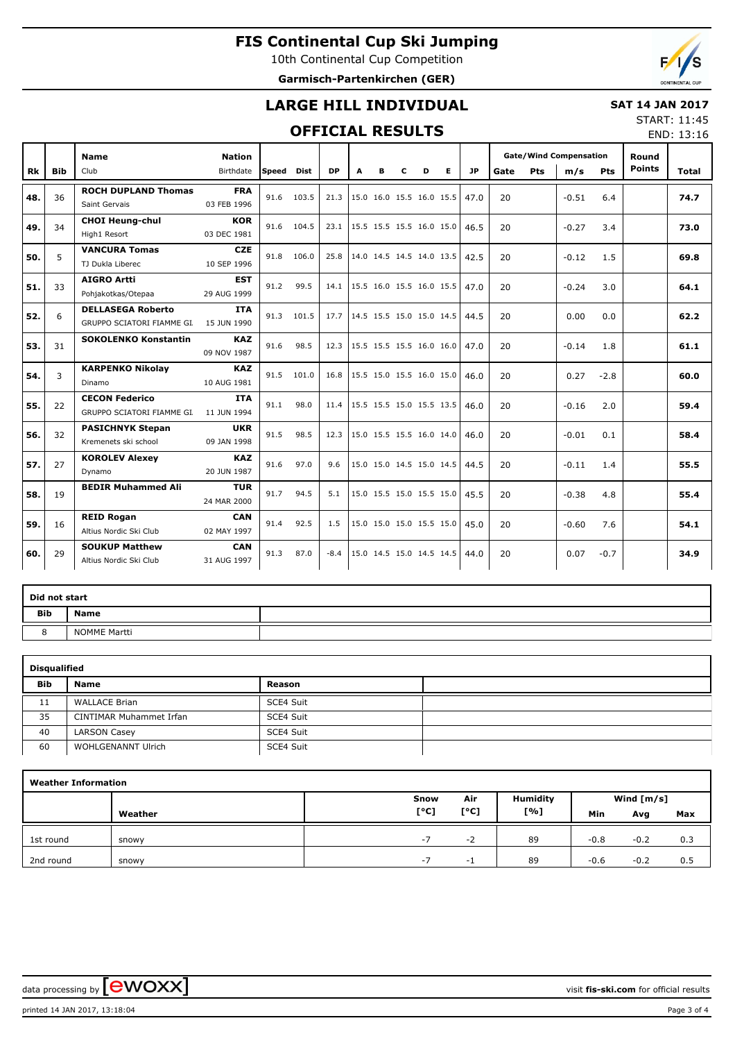10th Continental Cup Competition **Garmisch-Partenkirchen (GER)**



## **LARGE HILL INDIVIDUAL**

### **SAT 14 JAN 2017**

### **OFFICIAL RESULTS**

START: 11:45 END: 13:16

|     |            | <b>Name</b>                                                     | <b>Nation</b> |            |            |           |   |   |                          |   |                          |      |      |     | <b>Gate/Wind Compensation</b> |            | Round         |       |
|-----|------------|-----------------------------------------------------------------|---------------|------------|------------|-----------|---|---|--------------------------|---|--------------------------|------|------|-----|-------------------------------|------------|---------------|-------|
| Rk  | <b>Bib</b> | Club                                                            | Birthdate     | Speed Dist |            | <b>DP</b> | A | в | C                        | D | Е                        | JP   | Gate | Pts | m/s                           | <b>Pts</b> | <b>Points</b> | Total |
|     |            | <b>ROCH DUPLAND Thomas</b>                                      | <b>FRA</b>    |            |            |           |   |   |                          |   |                          |      |      |     |                               |            |               |       |
| 48. | 36         | Saint Gervais                                                   | 03 FEB 1996   | 91.6       | 103.5      | 21.3      |   |   |                          |   | 15.0 16.0 15.5 16.0 15.5 | 47.0 | 20   |     | $-0.51$                       | 6.4        |               | 74.7  |
| 49. | 34         | <b>CHOI Heung-chul</b>                                          | <b>KOR</b>    |            | 91.6 104.5 | 23.1      |   |   |                          |   | 15.5 15.5 15.5 16.0 15.0 | 46.5 | 20   |     | $-0.27$                       | 3.4        |               | 73.0  |
|     |            | High1 Resort                                                    | 03 DEC 1981   |            |            |           |   |   |                          |   |                          |      |      |     |                               |            |               |       |
| 50. | 5          | <b>VANCURA Tomas</b>                                            | <b>CZE</b>    | 91.8       | 106.0      | 25.8      |   |   |                          |   | 14.0 14.5 14.5 14.0 13.5 | 42.5 | 20   |     | $-0.12$                       | 1.5        |               | 69.8  |
|     |            | TJ Dukla Liberec                                                | 10 SEP 1996   |            |            |           |   |   |                          |   |                          |      |      |     |                               |            |               |       |
| 51. | 33         | <b>AIGRO Artti</b>                                              | <b>EST</b>    | 91.2       | 99.5       | 14.1      |   |   |                          |   | 15.5 16.0 15.5 16.0 15.5 | 47.0 | 20   |     | $-0.24$                       | 3.0        |               | 64.1  |
|     |            | Pohjakotkas/Otepaa                                              | 29 AUG 1999   |            |            |           |   |   |                          |   |                          |      |      |     |                               |            |               |       |
| 52. | 6          | <b>DELLASEGA Roberto</b>                                        | ITA           | 91.3       | 101.5      | 17.7      |   |   |                          |   | 14.5 15.5 15.0 15.0 14.5 | 44.5 | 20   |     | 0.00                          | 0.0        |               | 62.2  |
|     |            | GRUPPO SCIATORI FIAMME GI. 15 JUN 1990                          |               |            |            |           |   |   |                          |   |                          |      |      |     |                               |            |               |       |
| 53. | 31         | <b>SOKOLENKO Konstantin</b>                                     | <b>KAZ</b>    | 91.6       | 98.5       | 12.3      |   |   |                          |   | 15.5 15.5 15.5 16.0 16.0 | 47.0 | 20   |     | $-0.14$                       | 1.8        |               | 61.1  |
|     |            |                                                                 | 09 NOV 1987   |            |            |           |   |   |                          |   |                          |      |      |     |                               |            |               |       |
| 54. | 3          | <b>KARPENKO Nikolay</b>                                         | <b>KAZ</b>    | 91.5       | 101.0      | 16.8      |   |   |                          |   | 15.5 15.0 15.5 16.0 15.0 | 46.0 | 20   |     | 0.27                          | $-2.8$     |               | 60.0  |
|     |            | Dinamo                                                          | 10 AUG 1981   |            |            |           |   |   |                          |   |                          |      |      |     |                               |            |               |       |
| 55. | 22         | <b>CECON Federico</b><br>GRUPPO SCIATORI FIAMME GI. 11 JUN 1994 | <b>ITA</b>    | 91.1       | 98.0       | 11.4      |   |   |                          |   | 15.5 15.5 15.0 15.5 13.5 | 46.0 | 20   |     | $-0.16$                       | 2.0        |               | 59.4  |
|     |            |                                                                 | <b>UKR</b>    |            |            |           |   |   |                          |   |                          |      |      |     |                               |            |               |       |
| 56. | 32         | <b>PASICHNYK Stepan</b><br>Kremenets ski school                 | 09 JAN 1998   | 91.5       | 98.5       | 12.3      |   |   |                          |   | 15.0 15.5 15.5 16.0 14.0 | 46.0 | 20   |     | $-0.01$                       | 0.1        |               | 58.4  |
|     |            | <b>KOROLEV Alexey</b>                                           | <b>KAZ</b>    |            |            |           |   |   |                          |   |                          |      |      |     |                               |            |               |       |
| 57. | 27         | Dynamo                                                          | 20 JUN 1987   | 91.6       | 97.0       | 9.6       |   |   | 15.0 15.0 14.5 15.0 14.5 |   |                          | 44.5 | 20   |     | $-0.11$                       | 1.4        |               | 55.5  |
|     |            | <b>BEDIR Muhammed Ali</b>                                       | <b>TUR</b>    |            |            |           |   |   |                          |   |                          |      |      |     |                               |            |               |       |
| 58. | 19         |                                                                 | 24 MAR 2000   | 91.7       | 94.5       | 5.1       |   |   |                          |   | 15.0 15.5 15.0 15.5 15.0 | 45.5 | 20   |     | $-0.38$                       | 4.8        |               | 55.4  |
|     |            | <b>REID Rogan</b>                                               | <b>CAN</b>    |            |            |           |   |   |                          |   |                          |      |      |     |                               |            |               |       |
| 59. | 16         | Altius Nordic Ski Club                                          | 02 MAY 1997   | 91.4       | 92.5       | 1.5       |   |   |                          |   | 15.0 15.0 15.0 15.5 15.0 | 45.0 | 20   |     | $-0.60$                       | 7.6        |               | 54.1  |
|     |            | <b>SOUKUP Matthew</b>                                           | <b>CAN</b>    |            |            |           |   |   |                          |   |                          |      |      |     |                               |            |               |       |
| 60. | 29         | Altius Nordic Ski Club                                          | 31 AUG 1997   | 91.3       | 87.0       | $-8.4$    |   |   |                          |   | 15.0 14.5 15.0 14.5 14.5 | 44.0 | 20   |     | 0.07                          | $-0.7$     |               | 34.9  |
|     |            |                                                                 |               |            |            |           |   |   |                          |   |                          |      |      |     |                               |            |               |       |

| Did not start |              |  |
|---------------|--------------|--|
| <b>Bib</b>    | <b>Name</b>  |  |
| ັ             | NOMME Martti |  |

|            | <b>Disqualified</b>       |           |  |  |  |  |  |  |  |  |  |  |
|------------|---------------------------|-----------|--|--|--|--|--|--|--|--|--|--|
| <b>Bib</b> | <b>Name</b>               | Reason    |  |  |  |  |  |  |  |  |  |  |
| 11         | <b>WALLACE Brian</b>      | SCE4 Suit |  |  |  |  |  |  |  |  |  |  |
| 35         | CINTIMAR Muhammet Irfan   | SCE4 Suit |  |  |  |  |  |  |  |  |  |  |
| 40         | <b>LARSON Casey</b>       | SCE4 Suit |  |  |  |  |  |  |  |  |  |  |
| 60         | <b>WOHLGENANNT Ulrich</b> | SCE4 Suit |  |  |  |  |  |  |  |  |  |  |

|           | <b>Weather Information</b> |      |      |                 |        |              |     |  |  |  |  |  |  |  |
|-----------|----------------------------|------|------|-----------------|--------|--------------|-----|--|--|--|--|--|--|--|
|           |                            | Snow | Air  | <b>Humidity</b> |        | Wind $[m/s]$ |     |  |  |  |  |  |  |  |
|           | Weather                    | [°C] | [°C] | [%]             | Min    | Avg          | Max |  |  |  |  |  |  |  |
| 1st round | snowy                      | $-7$ | -2   | 89              | $-0.8$ | $-0.2$       | 0.3 |  |  |  |  |  |  |  |
| 2nd round | snowy                      | $-1$ | - 1  | 89              | $-0.6$ | $-0.2$       | 0.5 |  |  |  |  |  |  |  |

data processing by **CWOXX**  $\blacksquare$